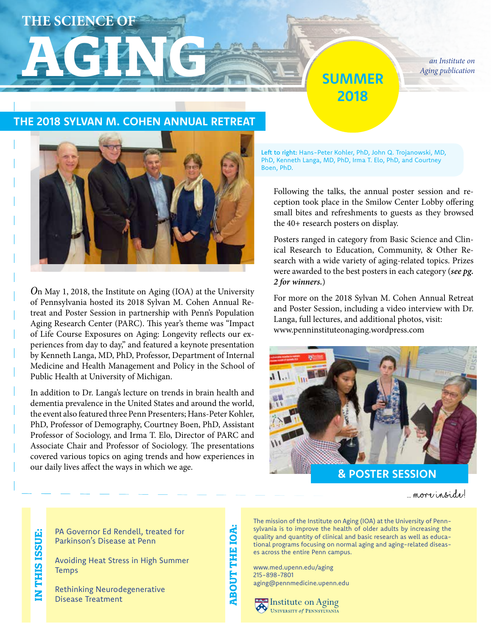## **THE SCIENCE OF**

## **AGING** *Aging publication Aging publication* **SUMMER 2018**

*Aging publication*

### **THE 2018 SYLVAN M. COHEN ANNUAL RETREAT**



*O*n May 1, 2018, the Institute on Aging (IOA) at the University of Pennsylvania hosted its 2018 Sylvan M. Cohen Annual Retreat and Poster Session in partnership with Penn's Population Aging Research Center (PARC). This year's theme was "Impact of Life Course Exposures on Aging: Longevity reflects our experiences from day to day," and featured a keynote presentation by Kenneth Langa, MD, PhD, Professor, Department of Internal Medicine and Health Management and Policy in the School of Public Health at University of Michigan.

In addition to Dr. Langa's lecture on trends in brain health and dementia prevalence in the United States and around the world, the event also featured three Penn Presenters; Hans-Peter Kohler, PhD, Professor of Demography, Courtney Boen, PhD, Assistant Professor of Sociology, and Irma T. Elo, Director of PARC and Associate Chair and Professor of Sociology. The presentations covered various topics on aging trends and how experiences in our daily lives affect the ways in which we age.

Left to right: Hans-Peter Kohler, PhD, John Q. Trojanowski, MD, PhD, Kenneth Langa, MD, PhD, Irma T. Elo, PhD, and Courtney Boen, PhD.

Following the talks, the annual poster session and reception took place in the Smilow Center Lobby offering small bites and refreshments to guests as they browsed the 40+ research posters on display.

Posters ranged in category from Basic Science and Clinical Research to Education, Community, & Other Research with a wide variety of aging-related topics. Prizes were awarded to the best posters in each category (*see pg. 2 for winners.*)

For more on the 2018 Sylvan M. Cohen Annual Retreat and Poster Session, including a video interview with Dr. Langa, full lectures, and additional photos, visit: www.penninstituteonaging.wordpress.com



**& POSTER SESSION**

... more inside!

PA Governor Ed Rendell, treated for Parkinson's Disease at Penn

Avoiding Heat Stress in High Summer **Temps** 

Rethinking Neurodegenerative Disease Treatment

**ABOUT THE IOA: ABOUT THE IOA** 

The mission of the Institute on Aging (IOA) at the University of Pennsylvania is to improve the health of older adults by increasing the quality and quantity of clinical and basic research as well as educational programs focusing on normal aging and aging-related diseases across the entire Penn campus.

www.med.upenn.edu/aging 215-898-7801 aging@pennmedicine.upenn.edu

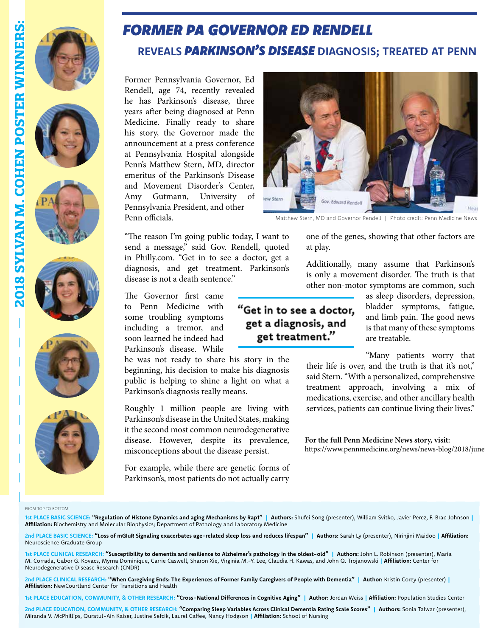











## *FORMER PA GOVERNOR ED RENDELL*

## **REVEALS** *PARKINSON'S DISEASE* **DIAGNOSIS; TREATED AT PENN**

Former Pennsylvania Governor, Ed Rendell, age 74, recently revealed he has Parkinson's disease, three years after being diagnosed at Penn Medicine. Finally ready to share his story, the Governor made the announcement at a press conference at Pennsylvania Hospital alongside Penn's Matthew Stern, MD, director emeritus of the Parkinson's Disease and Movement Disorder's Center, Amy Gutmann, University of Pennsylvania President, and other Penn officials.

"The reason I'm going public today, I want to send a message," said Gov. Rendell, quoted in Philly.com. "Get in to see a doctor, get a diagnosis, and get treatment. Parkinson's disease is not a death sentence."

The Governor first came to Penn Medicine with some troubling symptoms including a tremor, and soon learned he indeed had Parkinson's disease. While

he was not ready to share his story in the beginning, his decision to make his diagnosis public is helping to shine a light on what a Parkinson's diagnosis really means.

Roughly 1 million people are living with Parkinson's disease in the United States, making it the second most common neurodegenerative disease. However, despite its prevalence, misconceptions about the disease persist.

For example, while there are genetic forms of Parkinson's, most patients do not actually carry



Matthew Stern, MD and Governor Rendell | Photo credit: Penn Medicine News

one of the genes, showing that other factors are at play.

Additionally, many assume that Parkinson's is only a movement disorder. The truth is that other non-motor symptoms are common, such

#### "Get in to see a doctor, get a diagnosis, and get treatment."

as sleep disorders, depression, bladder symptoms, fatigue, and limb pain. The good news is that many of these symptoms are treatable.

"Many patients worry that their life is over, and the truth is that it's not," said Stern. "With a personalized, comprehensive treatment approach, involving a mix of

medications, exercise, and other ancillary health services, patients can continue living their lives."

**For the full Penn Medicine News story, visit:** https://www.pennmedicine.org/news/news-blog/2018/june

FROM TOP TO BOTTOM:

1st PLACE BASIC SCIENCE: **"Regulation of Histone Dynamics and aging Mechanisms by Rap1" | Authors: Shufei Song (presenter), William Svitko, Javier Perez, F. Brad Johnson | Affiliation:** Biochemistry and Molecular Biophysics; Department of Pathology and Laboratory Medicine

**2nd PLACE BASIC SCIENCE: "Loss of mGIuR Signaling exacerbates age-related sleep loss and reduces lifespan" | Authors:** Sarah Ly (presenter), Nirinjini Maidoo **| Affiliation:**  Neuroscience Graduate Group

**1st PLACE CLINICAL RESEARCH: "Susceptibility to dementia and resilience to Alzheimer's pathology in the oldest-old" | Authors:** John L. Robinson (presenter), Maria M. Corrada, Gabor G. Kovacs, Myrna Dominique, Carrie Caswell, Sharon Xie, Virginia M.-Y. Lee, Claudia H. Kawas, and John Q. Trojanowski **| Affiliation:** Center for Neurodegenerative Disease Research (CNDR)

**2nd PLACE CLINICAL RESEARCH: "When Caregiving Ends: The Experiences of Former Family Caregivers of People with Dementia" | Author:** Kristin Corey (presenter) **| Affiliation:** NewCourtland Center for Transitions and Health

**1st PLACE EDUCATION, COMMUNITY, & OTHER RESEARCH: "Cross-National Differences in Cognitive Aging" | Author:** Jordan Weiss **| Affiliation:** Population Studies Center

**2nd PLACE EDUCATION, COMMUNITY, & OTHER RESEARCH: "Comparing Sleep Variables Across Clinical Dementia Rating Scale Scores" | Authors:** Sonia Talwar (presenter), Miranda V. McPhillips, Quratul-Ain Kaiser, Justine Sefcik, Laurel Caffee, Nancy Hodgson **| Affiliation:** School of Nursing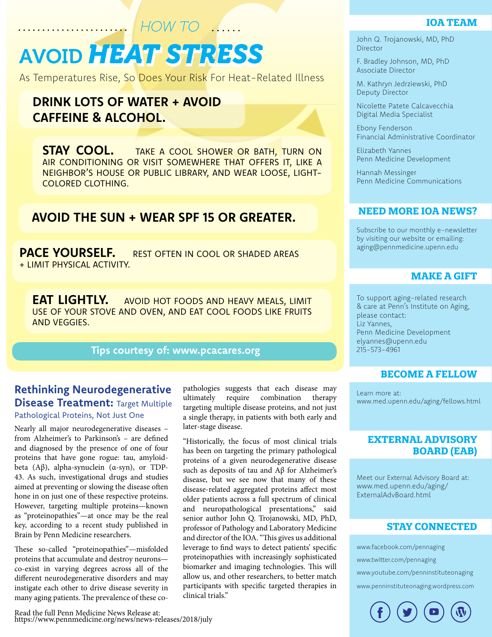# *HEAT STRESS* AVOID *HEAT STRESS HOW TO*

As Temperatures Rise, So Does Your Risk For Heat-Related Illness

## **DRINK LOTS OF WATER + AVOID CAFFEINE & ALCOHOL.**

**STAY COOL.** TAKE A COOL SHOWER OR BATH, TURN ON AIR CONDITIONING OR VISIT SOMEWHERE THAT OFFERS IT, LIKE A NEIGHBOR'S HOUSE OR PUBLIC LIBRARY, AND WEAR LOOSE, LIGHT-COLORED CLOTHING.

## **AVOID THE SUN + WEAR SPF 15 OR GREATER.**

**PACE YOURSELF.** REST OFTEN IN COOL OR SHADED AREAS + LIMIT PHYSICAL ACTIVITY.

**EAT LIGHTLY.** AVOID HOT FOODS AND HEAVY MEALS, LIMIT USE OF YOUR STOVE AND OVEN, AND EAT COOL FOODS LIKE FRUITS AND VEGGIES.

#### **Tips courtesy of: www.pcacares.org**

## **Rethinking Neurodegenerative Disease Treatment: Target Multiple**

#### Pathological Proteins, Not Just One

Nearly all major neurodegenerative diseases – from Alzheimer's to Parkinson's – are defined and diagnosed by the presence of one of four proteins that have gone rogue: tau, amyloidbeta (Aβ), alpha-synuclein (α-syn), or TDP-43. As such, investigational drugs and studies aimed at preventing or slowing the disease often hone in on just one of these respective proteins. However, targeting multiple proteins—known as "proteinopathies"—at once may be the real key, according to a recent study published in Brain by Penn Medicine researchers.

These so-called "proteinopathies"—misfolded proteins that accumulate and destroy neurons co-exist in varying degrees across all of the different neurodegenerative disorders and may instigate each other to drive disease severity in many aging patients. The prevalence of these copathologies suggests that each disease may ultimately require combination therapy targeting multiple disease proteins, and not just a single therapy, in patients with both early and later-stage disease.

"Historically, the focus of most clinical trials has been on targeting the primary pathological proteins of a given neurodegenerative disease such as deposits of tau and Aβ for Alzheimer's disease, but we see now that many of these disease-related aggregated proteins affect most older patients across a full spectrum of clinical and neuropathological presentations," said senior author John Q. Trojanowski, MD, PhD, professor of Pathology and Laboratory Medicine and director of the IOA. "This gives us additional leverage to find ways to detect patients' specific proteinopathies with increasingly sophisticated biomarker and imaging technologies. This will allow us, and other researchers, to better match participants with specific targeted therapies in clinical trials."

## **IOA TEAM**

John Q. Trojanowski, MD, PhD **Director** 

F. Bradley Johnson, MD, PhD Associate Director

M. Kathryn Jedrziewski, PhD Deputy Director

Nicolette Patete Calcavecchia Digital Media Specialist

Ebony Fenderson Financial Administrative Coordinator

Elizabeth Yannes Penn Medicine Development

Hannah Messinger Penn Medicine Communications

#### **NEED MORE IOA NEWS?**

Subscribe to our monthly e-newsletter by visiting our website or emailing: aging@pennmedicine.upenn.edu

#### **MAKE A GIFT**

To support aging-related research & care at Penn's Institute on Aging, please contact: Liz Yannes, Penn Medicine Development elyannes@upenn.edu 215-573-4961

#### **BECOME A FELLOW**

Learn more at: www.med.upenn.edu/aging/fellows.html

#### **EXTERNAL ADVISORY BOARD (EAB)**

Meet our External Advisory Board at: www.med.upenn.edu/aging/ ExternalAdvBoard.html

#### **STAY CONNECTED**

www.facebook.com/pennaging

www.twitter.com/pennaging

www.youtube.com/penninstituteonaging

www.penninstituteonaging.wordpress.com